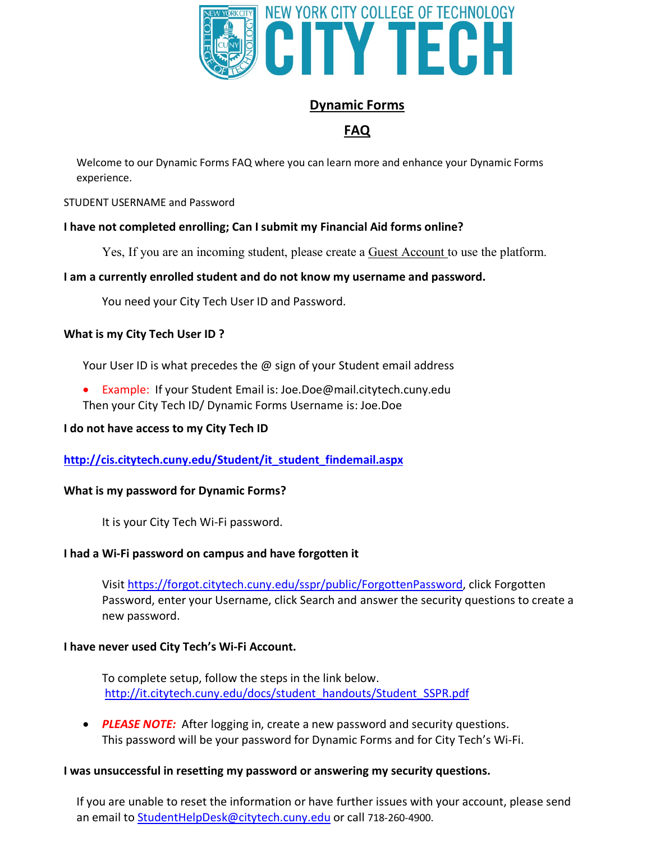

# **Dynamic Forms**

# **FAQ**

 Welcome to our Dynamic Forms FAQ where you can learn more and enhance your Dynamic Forms experience.

### STUDENT USERNAME and Password

# **I have not completed enrolling; Can I submit my Financial Aid forms online?**

Yes, If you are an incoming student, please create a **Guest Account** to use the platform.

# **I am a currently enrolled student and do not know my username and password.**

You need your City Tech User ID and Password.

### **What is my City Tech User ID ?**

Your User ID is what precedes the @ sign of your Student email address

**Example: If your Student Email is: [Joe.Doe@mail.citytech.cuny.edu](mailto:Joe.Doe@mail.citytech.cuny.edu)** Then your City Tech ID/ Dynamic Forms Username is: Joe.Doe

### **I do not have access to my City Tech ID**

**[http://cis.citytech.cuny.edu/Student/it\\_student\\_findemail.aspx](http://cis.citytech.cuny.edu/Student/it_student_findemail.aspx)** 

### **What is my password for Dynamic Forms?**

It is your City Tech Wi-Fi password.

# **I had a Wi-Fi password on campus and have forgotten it**

Visit <u><https://forgot.citytech.cuny.edu/sspr/public/ForgottenPassword></u>, click Forgotten Password, enter your Username, click Search and answer the security questions to create a new password.

### **I have never used City Tech's Wi-Fi Account.**

 To complete setup, follow the steps in the link below. [http://it.citytech.cuny.edu/docs/student\\_handouts/Student\\_SSPR.pdf](http://it.citytech.cuny.edu/docs/student_handouts/Student_SSPR.pdf)

**PLEASE NOTE:** After logging in, create a new password and security questions. This password will be your password for Dynamic Forms and for City Tech's Wi-Fi.

### **I was unsuccessful in resetting my password or answering my security questions.**

 If you are unable to reset the information or have further issues with your account, please send an email to [StudentHelpDesk@citytech.cuny.edu](mailto:StudentHelpDesk@citytech.cuny.edu) or call 718-260-4900.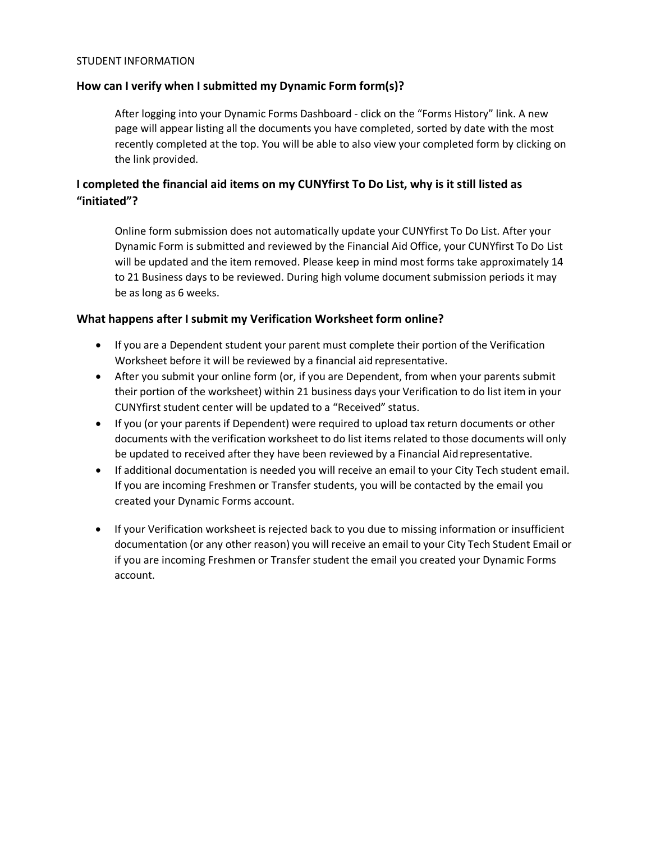#### STUDENT INFORMATION

### **How can I verify when I submitted my Dynamic Form form(s)?**

 After logging into your Dynamic Forms Dashboard - click on the "Forms History" link. A new page will appear listing all the documents you have completed, sorted by date with the most recently completed at the top. You will be able to also view your completed form by clicking on the link provided.

# **I completed the financial aid items on my CUNYfirst To Do List, why is it still listed as "initiated"?**

 Online form submission does not automatically update your CUNYfirst To Do List. After your Dynamic Form is submitted and reviewed by the Financial Aid Office, your CUNYfirst To Do List will be updated and the item removed. Please keep in mind most forms take approximately 14 to 21 Business days to be reviewed. During high volume document submission periods it may be as long as 6 weeks.

# **What happens after I submit my Verification Worksheet form online?**

- If you are a Dependent student your parent must complete their portion of the Verification Worksheet before it will be reviewed by a financial aid representative.
- After you submit your online form (or, if you are Dependent, from when your parents submit their portion of the worksheet) within 21 business days your Verification to do list item in your CUNYfirst student center will be updated to a "Received" status.
- If you (or your parents if Dependent) were required to upload tax return documents or other documents with the verification worksheet to do list items related to those documents will only be updated to received after they have been reviewed by a Financial Aidrepresentative.
- If additional documentation is needed you will receive an email to your City Tech student email. If you are incoming Freshmen or Transfer students, you will be contacted by the email you created your Dynamic Forms account.
- If your Verification worksheet is rejected back to you due to missing information or insufficient documentation (or any other reason) you will receive an email to your City Tech Student Email or if you are incoming Freshmen or Transfer student the email you created your Dynamic Forms account.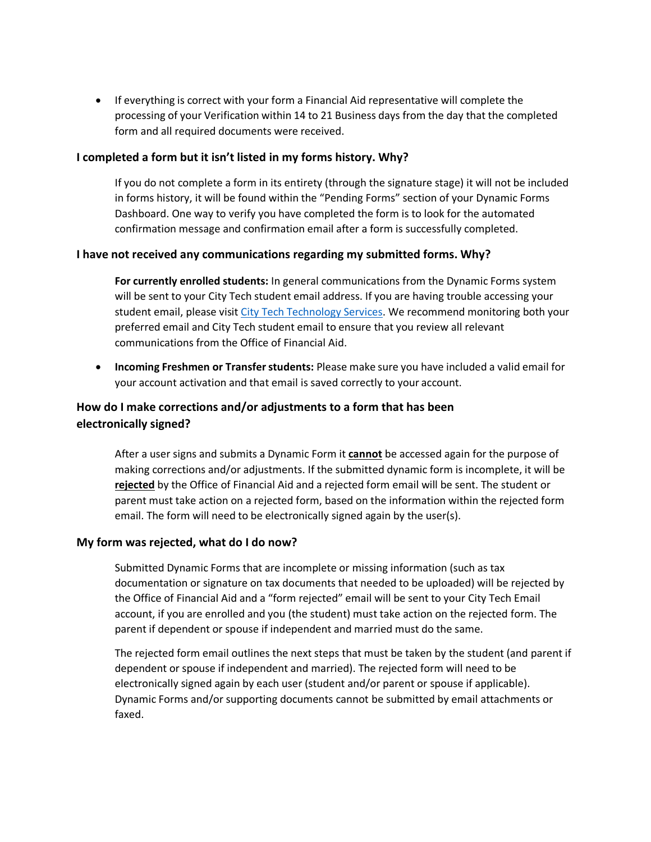• If everything is correct with your form a Financial Aid representative will complete the processing of your Verification within 14 to 21 Business days from the day that the completed form and all required documents were received.

### **I completed a form but it isn't listed in my forms history. Why?**

 If you do not complete a form in its entirety (through the signature stage) it will not be included in forms history, it will be found within the "Pending Forms" section of your Dynamic Forms Dashboard. One way to verify you have completed the form is to look for the automated confirmation message and confirmation email after a form is successfully completed.

### **I have not received any communications regarding my submitted forms. Why?**

 **For currently enrolled students:** In general communications from the Dynamic Forms system will be sent to your City Tech student email address. If you are having trouble accessing your student email, please visit City Tech Technology Services. We recommend monitoring both your preferred email and City Tech student email to ensure that you review all relevant communications from the Office of Financial Aid.

 x **Incoming Freshmen or Transfer students:** Please make sure you have included a valid email for your account activation and that email is saved correctly to your account.

# **How do I make corrections and/or adjustments to a form that has been electronically signed?**

 After a user signs and submits a Dynamic Form it **cannot** be accessed again for the purpose of making corrections and/or adjustments. If the submitted dynamic form is incomplete, it will be **rejected** by the Office of Financial Aid and a rejected form email will be sent. The student or parent must take action on a rejected form, based on the information within the rejected form email. The form will need to be electronically signed again by the user(s).

### **My form was rejected, what do I do now?**

 Submitted Dynamic Forms that are incomplete or missing information (such as tax documentation or signature on tax documents that needed to be uploaded) will be rejected by the Office of Financial Aid and a "form rejected" email will be sent to your City Tech Email account, if you are enrolled and you (the student) must take action on the rejected form. The parent if dependent or spouse if independent and married must do the same.

 The rejected form email outlines the next steps that must be taken by the student (and parent if dependent or spouse if independent and married). The rejected form will need to be electronically signed again by each user (student and/or parent or spouse if applicable). Dynamic Forms and/or supporting documents cannot be submitted by email attachments or faxed.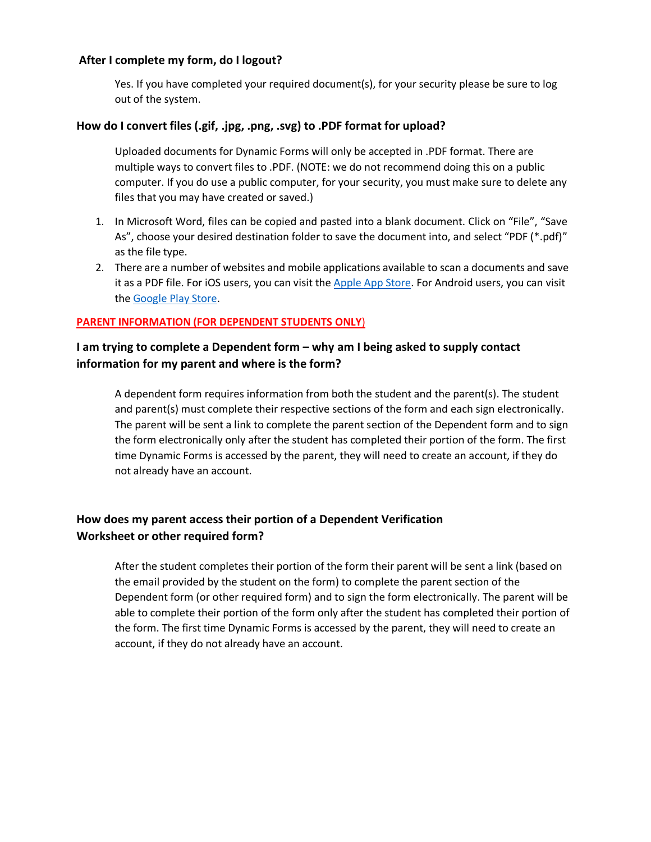#### **After I complete my form, do I logout?**

 out of the system. Yes. If you have completed your required document(s), for your security please be sure to log

### **How do I convert files (.gif, .jpg, .png, .svg) to .PDF format for upload?**

 Uploaded documents for Dynamic Forms will only be accepted in .PDF format. There are multiple ways to convert files to .PDF. (NOTE: we do not recommend doing this on a public computer. If you do use a public computer, for your security, you must make sure to delete any files that you may have created or saved.)

- 1. In Microsoft Word, files can be copied and pasted into a blank document. Click on "File", "Save As", choose your desired destination folder to save the document into, and select "PDF (\*.pdf)" as the file type.
- 2. There are a number of websites and mobile applications available to scan a documents and save it as a PDF file. For iOS users, you can visit the Apple App Store. For Android users, you can visit the Google Play Store.

#### **PARENT INFORMATION (FOR DEPENDENT STUDENTS ONLY**)

# **I am trying to complete a Dependent form – why am I being asked to supply contact information for my parent and where is the form?**

 A dependent form requires information from both the student and the parent(s). The student and parent(s) must complete their respective sections of the form and each sign electronically. time Dynamic Forms is accessed by the parent, they will need to create an account, if they do not already have an account. The parent will be sent a link to complete the parent section of the Dependent form and to sign the form electronically only after the student has completed their portion of the form. The first

# **How does my parent access their portion of a Dependent Verification Worksheet or other required form?**

 After the student completes their portion of the form their parent will be sent a link (based on the email provided by the student on the form) to complete the parent section of the Dependent form (or other required form) and to sign the form electronically. The parent will be able to complete their portion of the form only after the student has completed their portion of account, if they do not already have an account. the form. The first time Dynamic Forms is accessed by the parent, they will need to create an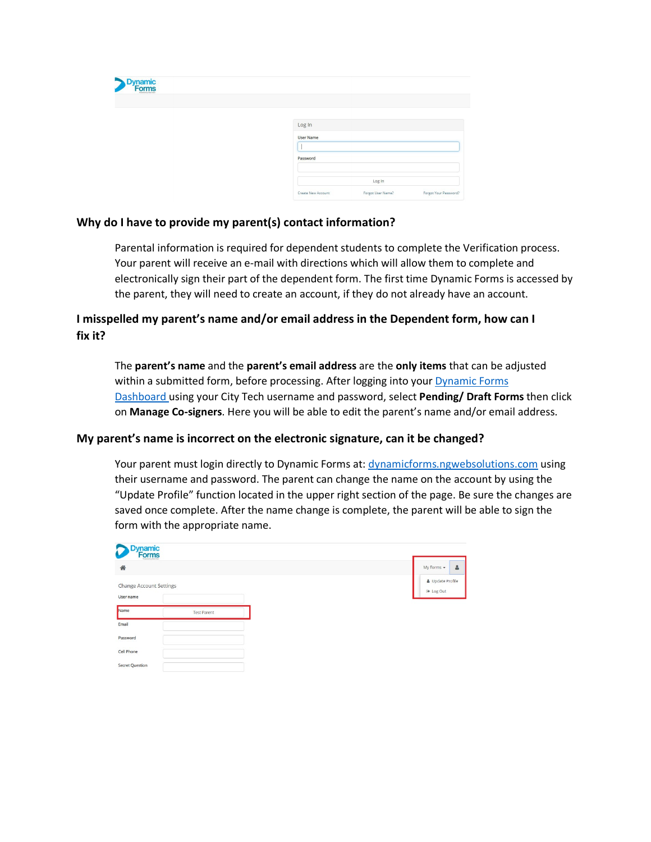| <b>Dynamic</b><br>Forms<br><b>Powered by Next Gent</b> |                                                                  |
|--------------------------------------------------------|------------------------------------------------------------------|
|                                                        | Log In                                                           |
|                                                        | <b>User Name</b>                                                 |
|                                                        | Password                                                         |
|                                                        | Log In                                                           |
|                                                        | Forgot Your Password?<br>Forgot User Name?<br>Create New Account |

### **Why do I have to provide my parent(s) contact information?**

 Parental information is required for dependent students to complete the Verification process. Your parent will receive an e-mail with directions which will allow them to complete and electronically sign their part of the dependent form. The first time Dynamic Forms is accessed by the parent, they will need to create an account, if they do not already have an account.

# **I misspelled my parent's name and/or email address in the Dependent form, how can I fix it?**

 The **parent's name** and the **parent's email address** are the **only items** that can be adjusted within a submitted form, before processing. After logging into your **Dynamic Forms**  Dashboard using your City Tech username and password, select **Pending/ Draft Forms** then click on **Manage Co-signers**. Here you will be able to edit the parent's name and/or email address.

### **My parent's name is incorrect on the electronic signature, can it be changed?**

 their username and password. The parent can change the name on the account by using the "Update Profile" function located in the upper right section of the page. Be sure the changes are saved once complete. After the name change is complete, the parent will be able to sign the form with the appropriate name. Your parent must login directly to Dynamic Forms at: [dynamicforms.ngwebsolutions.com](https://dynamicforms.ngwebsolutions.com) using

| <b>Dynamic</b><br>Forms<br>C                |                    |  |  |                               |
|---------------------------------------------|--------------------|--|--|-------------------------------|
| 备                                           |                    |  |  | $\Delta$<br>My Forms +        |
| <b>Change Account Settings</b><br>User name |                    |  |  | & Update Profile<br>⊕ Log Out |
| Name                                        | <b>Test Parent</b> |  |  |                               |
| Email                                       |                    |  |  |                               |
| Password                                    |                    |  |  |                               |
| Cell Phone                                  |                    |  |  |                               |
| <b>Secret Question</b>                      |                    |  |  |                               |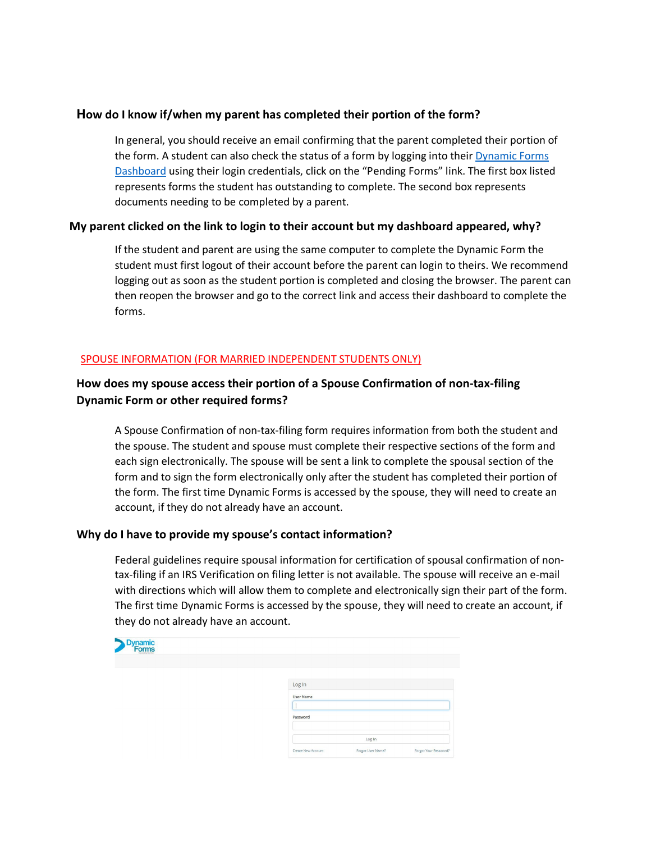# **How do I know if/when my parent has completed their portion of the form?**

 In general, you should receive an email confirming that the parent completed their portion of the form. A student can also check the status of a form by logging into their *Dynamic Forms* Dashboard using their login credentials, click on the "Pending Forms" link. The first box listed represents forms the student has outstanding to complete. The second box represents documents needing to be completed by a parent.

# **My parent clicked on the link to login to their account but my dashboard appeared, why?**

 student must first logout of their account before the parent can login to theirs. We recommend logging out as soon as the student portion is completed and closing the browser. The parent can If the student and parent are using the same computer to complete the Dynamic Form the then reopen the browser and go to the correct link and access their dashboard to complete the forms.

### SPOUSE INFORMATION (FOR MARRIED INDEPENDENT STUDENTS ONLY)

# **How does my spouse access their portion of a Spouse Confirmation of non-tax-filing Dynamic Form or other required forms?**

 A Spouse Confirmation of non-tax-filing form requires information from both the student and each sign electronically. The spouse will be sent a link to complete the spousal section of the form and to sign the form electronically only after the student has completed their portion of account, if they do not already have an account. the spouse. The student and spouse must complete their respective sections of the form and the form. The first time Dynamic Forms is accessed by the spouse, they will need to create an

#### **Why do I have to provide my spouse's contact information?**

 Federal guidelines require spousal information for certification of spousal confirmation of non- tax-filing if an IRS Verification on filing letter is not available. The spouse will receive an e-mail with directions which will allow them to complete and electronically sign their part of the form. they do not already have an account. The first time Dynamic Forms is accessed by the spouse, they will need to create an account, if

| <b>Dynamic</b><br>Forms |                    |                   |                       |
|-------------------------|--------------------|-------------------|-----------------------|
|                         |                    |                   |                       |
|                         | Log In             |                   |                       |
|                         | <b>User Name</b>   |                   |                       |
|                         |                    |                   |                       |
|                         | Password           |                   |                       |
|                         |                    | Log In            |                       |
|                         | Create New Account | Forgot User Name? | Forgot Your Password? |